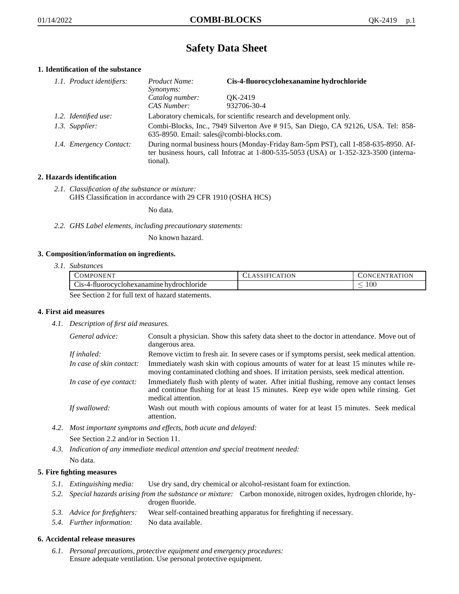# **Safety Data Sheet**

## **1. Identification of the substance**

| 1.1. Product identifiers: | Product Name:<br>Synonyms:                                                                                                                                                                  | Cis-4-fluorocyclohexanamine hydrochloride |
|---------------------------|---------------------------------------------------------------------------------------------------------------------------------------------------------------------------------------------|-------------------------------------------|
|                           | Catalog number:<br>CAS Number:                                                                                                                                                              | OK-2419<br>932706-30-4                    |
| 1.2. Identified use:      | Laboratory chemicals, for scientific research and development only.                                                                                                                         |                                           |
| 1.3. Supplier:            | Combi-Blocks, Inc., 7949 Silverton Ave #915, San Diego, CA 92126, USA. Tel: 858-<br>635-8950. Email: sales@combi-blocks.com.                                                                |                                           |
| 1.4. Emergency Contact:   | During normal business hours (Monday-Friday 8am-5pm PST), call 1-858-635-8950. Af-<br>ter business hours, call Infotrac at $1-800-535-5053$ (USA) or $1-352-323-3500$ (interna-<br>tional). |                                           |

## **2. Hazards identification**

*2.1. Classification of the substance or mixture:* GHS Classification in accordance with 29 CFR 1910 (OSHA HCS)

No data.

*2.2. GHS Label elements, including precautionary statements:*

No known hazard.

#### **3. Composition/information on ingredients.**

*3.1. Substances*

| COMPONENT                                        | <b>ASSIFICATION</b> | <b>CONCENTRATION</b> |
|--------------------------------------------------|---------------------|----------------------|
| Cis-4-fluorocyclohexanamine hydrochloride        |                     | 100                  |
| See Section 2 for full toxi of hegard statements |                     |                      |

See Section 2 for full text of hazard statements.

## **4. First aid measures**

*4.1. Description of first aid measures.*

| General advice:          | Consult a physician. Show this safety data sheet to the doctor in attendance. Move out of<br>dangerous area.                                                                                            |
|--------------------------|---------------------------------------------------------------------------------------------------------------------------------------------------------------------------------------------------------|
| If inhaled:              | Remove victim to fresh air. In severe cases or if symptoms persist, seek medical attention.                                                                                                             |
| In case of skin contact: | Immediately wash skin with copious amounts of water for at least 15 minutes while re-<br>moving contaminated clothing and shoes. If irritation persists, seek medical attention.                        |
| In case of eye contact:  | Immediately flush with plenty of water. After initial flushing, remove any contact lenses<br>and continue flushing for at least 15 minutes. Keep eye wide open while rinsing. Get<br>medical attention. |
| If swallowed:            | Wash out mouth with copious amounts of water for at least 15 minutes. Seek medical<br>attention.                                                                                                        |

*4.2. Most important symptoms and effects, both acute and delayed:*

See Section 2.2 and/or in Section 11.

*4.3. Indication of any immediate medical attention and special treatment needed:* No data.

## **5. Fire fighting measures**

- *5.1. Extinguishing media:* Use dry sand, dry chemical or alcohol-resistant foam for extinction.
- *5.2. Special hazards arising from the substance or mixture:* Carbon monoxide, nitrogen oxides, hydrogen chloride, hydrogen fluoride.
- *5.3. Advice for firefighters:* Wear self-contained breathing apparatus for firefighting if necessary.
- *5.4. Further information:* No data available.

## **6. Accidental release measures**

*6.1. Personal precautions, protective equipment and emergency procedures:* Ensure adequate ventilation. Use personal protective equipment.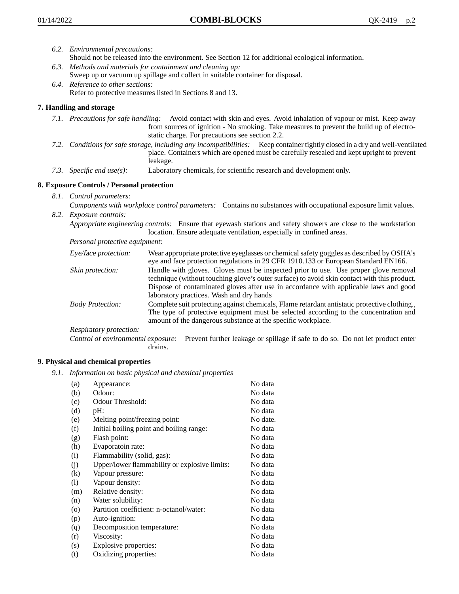- *6.2. Environmental precautions:* Should not be released into the environment. See Section 12 for additional ecological information.
- *6.3. Methods and materials for containment and cleaning up:* Sweep up or vacuum up spillage and collect in suitable container for disposal.
- *6.4. Reference to other sections:* Refer to protective measures listed in Sections 8 and 13.

## **7. Handling and storage**

- *7.1. Precautions for safe handling:* Avoid contact with skin and eyes. Avoid inhalation of vapour or mist. Keep away from sources of ignition - No smoking. Take measures to prevent the build up of electrostatic charge. For precautions see section 2.2.
- *7.2. Conditions for safe storage, including any incompatibilities:* Keep container tightly closed in a dry and well-ventilated place. Containers which are opened must be carefully resealed and kept upright to prevent leakage.
- *7.3. Specific end use(s):* Laboratory chemicals, for scientific research and development only.

## **8. Exposure Controls / Personal protection**

- *8.1. Control parameters:*
- *Components with workplace control parameters:* Contains no substances with occupational exposure limit values. *8.2. Exposure controls:*

*Appropriate engineering controls:* Ensure that eyewash stations and safety showers are close to the workstation location. Ensure adequate ventilation, especially in confined areas.

*Personal protective equipment:*

| Eye/face protection:    | Wear appropriate protective eyeglasses or chemical safety goggles as described by OSHA's<br>eye and face protection regulations in 29 CFR 1910.133 or European Standard EN166.                                                                                                                                         |
|-------------------------|------------------------------------------------------------------------------------------------------------------------------------------------------------------------------------------------------------------------------------------------------------------------------------------------------------------------|
| Skin protection:        | Handle with gloves. Gloves must be inspected prior to use. Use proper glove removal<br>technique (without touching glove's outer surface) to avoid skin contact with this product.<br>Dispose of contaminated gloves after use in accordance with applicable laws and good<br>laboratory practices. Wash and dry hands |
| <b>Body Protection:</b> | Complete suit protecting against chemicals, Flame retardant antistatic protective clothing.,<br>The type of protective equipment must be selected according to the concentration and<br>amount of the dangerous substance at the specific workplace.                                                                   |
| Respiratory protection: |                                                                                                                                                                                                                                                                                                                        |

Control of environmental exposure: Prevent further leakage or spillage if safe to do so. Do not let product enter drains.

#### **9. Physical and chemical properties**

*9.1. Information on basic physical and chemical properties*

| (a)                          | Appearance:                                   | No data  |
|------------------------------|-----------------------------------------------|----------|
| (b)                          | Odour:                                        | No data  |
| (c)                          | Odour Threshold:                              | No data  |
| (d)                          | pH:                                           | No data  |
| (e)                          | Melting point/freezing point:                 | No date. |
| (f)                          | Initial boiling point and boiling range:      | No data  |
| (g)                          | Flash point:                                  | No data  |
| (h)                          | Evaporatoin rate:                             | No data  |
| (i)                          | Flammability (solid, gas):                    | No data  |
| (j)                          | Upper/lower flammability or explosive limits: | No data  |
| $\left( k\right)$            | Vapour pressure:                              | No data  |
| $\left( \frac{1}{2} \right)$ | Vapour density:                               | No data  |
| (m)                          | Relative density:                             | No data  |
| (n)                          | Water solubility:                             | No data  |
| $\circ$                      | Partition coefficient: n-octanol/water:       | No data  |
| (p)                          | Auto-ignition:                                | No data  |
| (q)                          | Decomposition temperature:                    | No data  |
| (r)                          | Viscosity:                                    | No data  |
| (s)                          | Explosive properties:                         | No data  |
| (t)                          | Oxidizing properties:                         | No data  |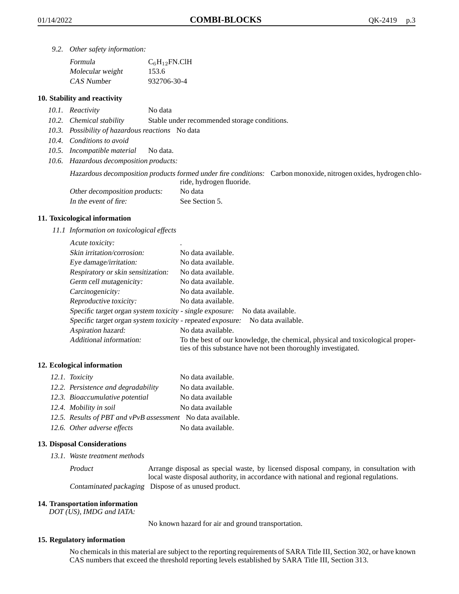*9.2. Other safety information:*

| Formula          | $C_6H_{12}FN$ .ClH |
|------------------|--------------------|
| Molecular weight | 153.6              |
| CAS Number       | 932706-30-4        |

#### **10. Stability and reactivity**

- *10.1. Reactivity* No data
- *10.2. Chemical stability* Stable under recommended storage conditions.
- *10.3. Possibility of hazardous reactions* No data
- *10.4. Conditions to avoid*
- *10.5. Incompatible material* No data.
- *10.6. Hazardous decomposition products:*

Hazardous decomposition products formed under fire conditions: Carbon monoxide, nitrogen oxides, hydrogen chloride, hydrogen fluoride.

| Other decomposition products: | No data        |
|-------------------------------|----------------|
| In the event of fire:         | See Section 5. |

#### **11. Toxicological information**

*11.1 Information on toxicological effects*

| Acute toxicity:                                            |                                                                                                                                                 |
|------------------------------------------------------------|-------------------------------------------------------------------------------------------------------------------------------------------------|
| Skin irritation/corrosion:                                 | No data available.                                                                                                                              |
| Eye damage/irritation:                                     | No data available.                                                                                                                              |
| Respiratory or skin sensitization:                         | No data available.                                                                                                                              |
| Germ cell mutagenicity:                                    | No data available.                                                                                                                              |
| Carcinogenicity:                                           | No data available.                                                                                                                              |
| Reproductive toxicity:                                     | No data available.                                                                                                                              |
| Specific target organ system toxicity - single exposure:   | No data available.                                                                                                                              |
| Specific target organ system toxicity - repeated exposure: | No data available.                                                                                                                              |
| Aspiration hazard:                                         | No data available.                                                                                                                              |
| Additional information:                                    | To the best of our knowledge, the chemical, physical and toxicological proper-<br>ties of this substance have not been thoroughly investigated. |

#### **12. Ecological information**

| 12.1. Toxicity                                              | No data available. |
|-------------------------------------------------------------|--------------------|
| 12.2. Persistence and degradability                         | No data available. |
| 12.3. Bioaccumulative potential                             | No data available  |
| 12.4. Mobility in soil                                      | No data available  |
| 12.5. Results of PBT and vPvB assessment No data available. |                    |
| 12.6. Other adverse effects                                 | No data available. |

#### **13. Disposal Considerations**

*13.1. Waste treatment methods*

Product Arrange disposal as special waste, by licensed disposal company, in consultation with local waste disposal authority, in accordance with national and regional regulations. Contaminated packaging Dispose of as unused product.

#### **14. Transportation information**

*DOT (US), IMDG and IATA:*

No known hazard for air and ground transportation.

#### **15. Regulatory information**

No chemicals in this material are subject to the reporting requirements of SARA Title III, Section 302, or have known CAS numbers that exceed the threshold reporting levels established by SARA Title III, Section 313.